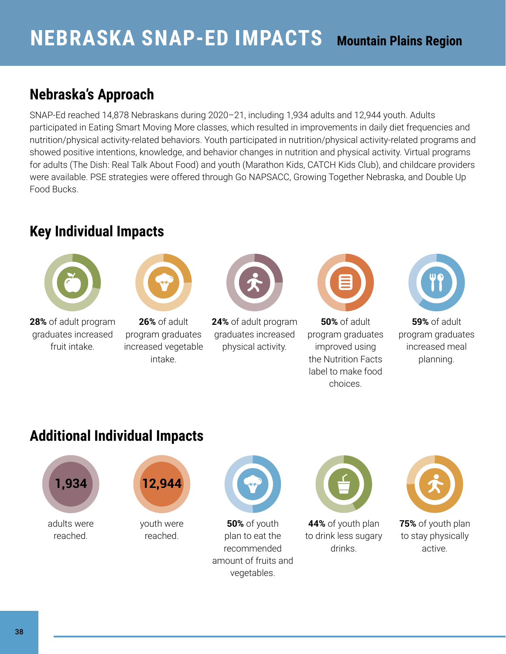## **Nebraska's Approach**

SNAP-Ed reached 14,878 Nebraskans during 2020–21, including 1,934 adults and 12,944 youth. Adults participated in Eating Smart Moving More classes, which resulted in improvements in daily diet frequencies and nutrition/physical activity-related behaviors. Youth participated in nutrition/physical activity-related programs and showed positive intentions, knowledge, and behavior changes in nutrition and physical activity. Virtual programs for adults (The Dish: Real Talk About Food) and youth (Marathon Kids, CATCH Kids Club), and childcare providers were available. PSE strategies were offered through Go NAPSACC, Growing Together Nebraska, and Double Up Food Bucks.

## **Key Individual Impacts**





**28%** of adult program graduates increased fruit intake.

**26%** of adult program graduates increased vegetable intake.



**24%** of adult program graduates increased physical activity.



**50%** of adult program graduates improved using the Nutrition Facts label to make food choices.



**59%** of adult program graduates increased meal planning.

## **Additional Individual Impacts**





youth were reached.



**50%** of youth plan to eat the recommended amount of fruits and vegetables.



**44%** of youth plan to drink less sugary drinks.



**75%** of youth plan to stay physically active.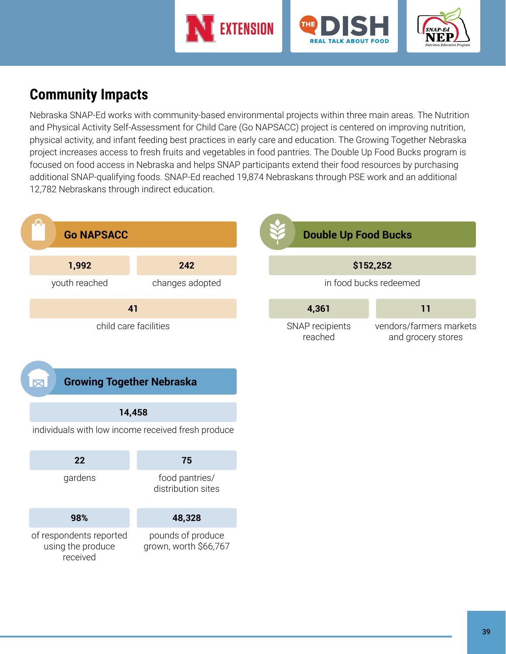





## **Community Impacts**

Nebraska SNAP-Ed works with community-based environmental projects within three main areas. The Nutrition and Physical Activity Self-Assessment for Child Care (Go NAPSACC) project is centered on improving nutrition, physical activity, and infant feeding best practices in early care and education. The Growing Together Nebraska project increases access to fresh fruits and vegetables in food pantries. The Double Up Food Bucks program is focused on food access in Nebraska and helps SNAP participants extend their food resources by purchasing additional SNAP-qualifying foods. SNAP-Ed reached 19,874 Nebraskans through PSE work and an additional 12,782 Nebraskans through indirect education.

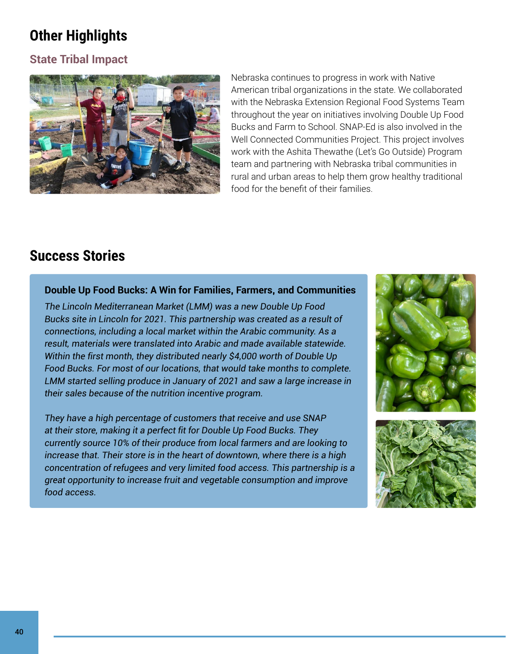# **Other Highlights**

### **State Tribal Impact**



Nebraska continues to progress in work with Native American tribal organizations in the state. We collaborated with the Nebraska Extension Regional Food Systems Team throughout the year on initiatives involving Double Up Food Bucks and Farm to School. SNAP-Ed is also involved in the Well Connected Communities Project. This project involves work with the Ashita Thewathe (Let's Go Outside) Program team and partnering with Nebraska tribal communities in rural and urban areas to help them grow healthy traditional food for the benefit of their families.

### **Success Stories**

### **Double Up Food Bucks: A Win for Families, Farmers, and Communities**

*The Lincoln Mediterranean Market (LMM) was a new Double Up Food Bucks site in Lincoln for 2021. This partnership was created as a result of connections, including a local market within the Arabic community. As a result, materials were translated into Arabic and made available statewide. Within the first month, they distributed nearly \$4,000 worth of Double Up Food Bucks. For most of our locations, that would take months to complete. LMM started selling produce in January of 2021 and saw a large increase in their sales because of the nutrition incentive program.*

*They have a high percentage of customers that receive and use SNAP at their store, making it a perfect fit for Double Up Food Bucks. They currently source 10% of their produce from local farmers and are looking to increase that. Their store is in the heart of downtown, where there is a high concentration of refugees and very limited food access. This partnership is a great opportunity to increase fruit and vegetable consumption and improve food access.*